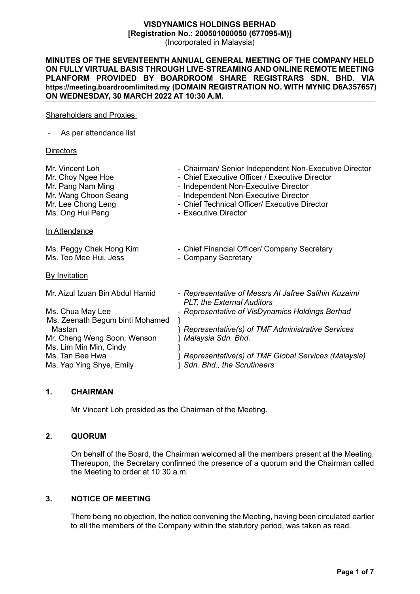#### **VISDYNAMICS HOLDINGS BERHAD [Registration No.: 200501000050 (677095-M)]**  (Incorporated in Malaysia)

## **MINUTES OF THE SEVENTEENTH ANNUAL GENERAL MEETING OF THE COMPANY HELD ON FULLY VIRTUAL BASIS THROUGH LIVE-STREAMING AND ONLINE REMOTE MEETING PLANFORM PROVIDED BY BOARDROOM SHARE REGISTRARS SDN. BHD. VIA https://meeting.boardroomlimited.my (DOMAIN REGISTRATION NO. WITH MYNIC D6A357657) ON WEDNESDAY, 30 MARCH 2022 AT 10:30 A.M.**

#### Shareholders and Proxies

|  | As per attendance list |
|--|------------------------|
|--|------------------------|

#### **Directors**

| Mr. Vincent Loh<br>Mr. Choy Ngee Hoe<br>Mr. Pang Nam Ming<br>Mr. Wang Choon Seang<br>Mr. Lee Chong Leng<br>Ms. Ong Hui Peng | - Chairman/ Senior Independent Non-Executive Director<br>- Chief Executive Officer / Executive Director<br>- Independent Non-Executive Director<br>- Independent Non-Executive Director<br>- Chief Technical Officer/ Executive Director<br>- Executive Director |
|-----------------------------------------------------------------------------------------------------------------------------|------------------------------------------------------------------------------------------------------------------------------------------------------------------------------------------------------------------------------------------------------------------|
| In Attendance                                                                                                               |                                                                                                                                                                                                                                                                  |
| Ms. Peggy Chek Hong Kim<br>Ms. Teo Mee Hui, Jess                                                                            | - Chief Financial Officer/ Company Secretary<br>- Company Secretary                                                                                                                                                                                              |
| <b>By Invitation</b>                                                                                                        |                                                                                                                                                                                                                                                                  |
| Mr. Aizul Izuan Bin Abdul Hamid                                                                                             | - Representative of Messrs AI Jafree Salihin Kuzaimi<br><b>PLT, the External Auditors</b>                                                                                                                                                                        |
| Ms. Chua May Lee                                                                                                            | - Representative of VisDynamics Holdings Berhad                                                                                                                                                                                                                  |
| Ms. Zeenath Begum binti Mohamed                                                                                             |                                                                                                                                                                                                                                                                  |
| Mastan                                                                                                                      | Representative(s) of TMF Administrative Services                                                                                                                                                                                                                 |
| Mr. Cheng Weng Soon, Wenson                                                                                                 | Malaysia Sdn. Bhd.                                                                                                                                                                                                                                               |
| Ms. Lim Min Min, Cindy                                                                                                      |                                                                                                                                                                                                                                                                  |
| Ms. Tan Bee Hwa                                                                                                             | Representative(s) of TMF Global Services (Malaysia)                                                                                                                                                                                                              |
| Ms. Yap Ying Shye, Emily                                                                                                    | Sdn. Bhd., the Scrutineers                                                                                                                                                                                                                                       |

# **1. CHAIRMAN**

Mr Vincent Loh presided as the Chairman of the Meeting.

#### **2. QUORUM**

On behalf of the Board, the Chairman welcomed all the members present at the Meeting. Thereupon, the Secretary confirmed the presence of a quorum and the Chairman called the Meeting to order at 10:30 a.m.

# **3. NOTICE OF MEETING**

There being no objection, the notice convening the Meeting, having been circulated earlier to all the members of the Company within the statutory period, was taken as read.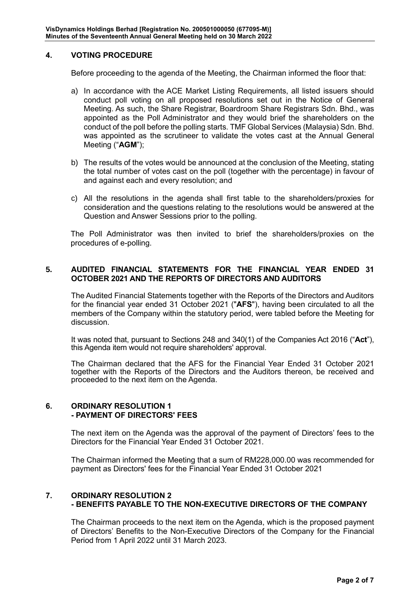# **4. VOTING PROCEDURE**

Before proceeding to the agenda of the Meeting, the Chairman informed the floor that:

- a) In accordance with the ACE Market Listing Requirements, all listed issuers should conduct poll voting on all proposed resolutions set out in the Notice of General Meeting. As such, the Share Registrar, Boardroom Share Registrars Sdn. Bhd., was appointed as the Poll Administrator and they would brief the shareholders on the conduct of the poll before the polling starts. TMF Global Services (Malaysia) Sdn. Bhd. was appointed as the scrutineer to validate the votes cast at the Annual General Meeting ("**AGM**");
- b) The results of the votes would be announced at the conclusion of the Meeting, stating the total number of votes cast on the poll (together with the percentage) in favour of and against each and every resolution; and
- c) All the resolutions in the agenda shall first table to the shareholders/proxies for consideration and the questions relating to the resolutions would be answered at the Question and Answer Sessions prior to the polling.

The Poll Administrator was then invited to brief the shareholders/proxies on the procedures of e-polling.

# **5. AUDITED FINANCIAL STATEMENTS FOR THE FINANCIAL YEAR ENDED 31 OCTOBER 2021 AND THE REPORTS OF DIRECTORS AND AUDITORS**

The Audited Financial Statements together with the Reports of the Directors and Auditors for the financial year ended 31 October 2021 ("**AFS**"), having been circulated to all the members of the Company within the statutory period, were tabled before the Meeting for discussion.

It was noted that, pursuant to Sections 248 and 340(1) of the Companies Act 2016 ("**Act**"), this Agenda item would not require shareholders' approval.

The Chairman declared that the AFS for the Financial Year Ended 31 October 2021 together with the Reports of the Directors and the Auditors thereon, be received and proceeded to the next item on the Agenda.

## **6. ORDINARY RESOLUTION 1 - PAYMENT OF DIRECTORS' FEES**

The next item on the Agenda was the approval of the payment of Directors' fees to the Directors for the Financial Year Ended 31 October 2021.

The Chairman informed the Meeting that a sum of RM228,000.00 was recommended for payment as Directors' fees for the Financial Year Ended 31 October 2021

# **7. ORDINARY RESOLUTION 2 - BENEFITS PAYABLE TO THE NON-EXECUTIVE DIRECTORS OF THE COMPANY**

The Chairman proceeds to the next item on the Agenda, which is the proposed payment of Directors' Benefits to the Non-Executive Directors of the Company for the Financial Period from 1 April 2022 until 31 March 2023.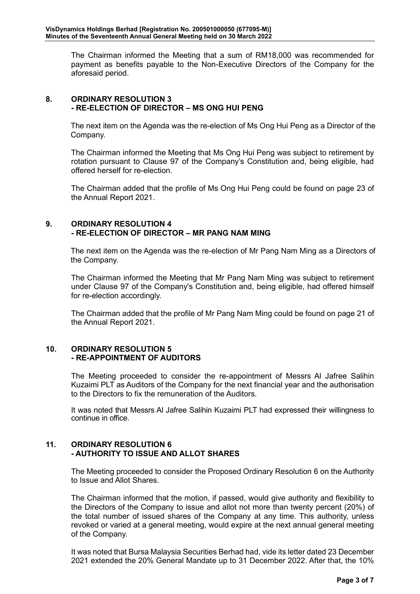The Chairman informed the Meeting that a sum of RM18,000 was recommended for payment as benefits payable to the Non-Executive Directors of the Company for the aforesaid period.

# **8. ORDINARY RESOLUTION 3 - RE-ELECTION OF DIRECTOR – MS ONG HUI PENG**

The next item on the Agenda was the re-election of Ms Ong Hui Peng as a Director of the Company.

The Chairman informed the Meeting that Ms Ong Hui Peng was subject to retirement by rotation pursuant to Clause 97 of the Company's Constitution and, being eligible, had offered herself for re-election.

The Chairman added that the profile of Ms Ong Hui Peng could be found on page 23 of the Annual Report 2021.

#### **9. ORDINARY RESOLUTION 4 - RE-ELECTION OF DIRECTOR – MR PANG NAM MING**

The next item on the Agenda was the re-election of Mr Pang Nam Ming as a Directors of the Company.

The Chairman informed the Meeting that Mr Pang Nam Ming was subject to retirement under Clause 97 of the Company's Constitution and, being eligible, had offered himself for re-election accordingly.

The Chairman added that the profile of Mr Pang Nam Ming could be found on page 21 of the Annual Report 2021.

# **10. ORDINARY RESOLUTION 5 - RE-APPOINTMENT OF AUDITORS**

The Meeting proceeded to consider the re-appointment of Messrs Al Jafree Salihin Kuzaimi PLT as Auditors of the Company for the next financial year and the authorisation to the Directors to fix the remuneration of the Auditors.

It was noted that Messrs Al Jafree Salihin Kuzaimi PLT had expressed their willingness to continue in office.

# **11. ORDINARY RESOLUTION 6 - AUTHORITY TO ISSUE AND ALLOT SHARES**

The Meeting proceeded to consider the Proposed Ordinary Resolution 6 on the Authority to Issue and Allot Shares.

The Chairman informed that the motion, if passed, would give authority and flexibility to the Directors of the Company to issue and allot not more than twenty percent (20%) of the total number of issued shares of the Company at any time. This authority, unless revoked or varied at a general meeting, would expire at the next annual general meeting of the Company.

It was noted that Bursa Malaysia Securities Berhad had, vide its letter dated 23 December 2021 extended the 20% General Mandate up to 31 December 2022. After that, the 10%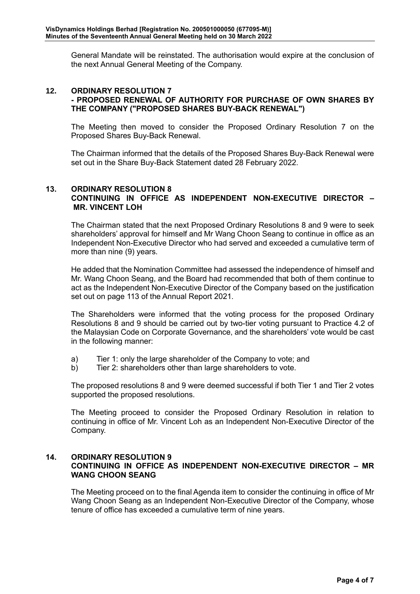General Mandate will be reinstated. The authorisation would expire at the conclusion of the next Annual General Meeting of the Company.

## **12. ORDINARY RESOLUTION 7 - PROPOSED RENEWAL OF AUTHORITY FOR PURCHASE OF OWN SHARES BY THE COMPANY ("PROPOSED SHARES BUY-BACK RENEWAL")**

The Meeting then moved to consider the Proposed Ordinary Resolution 7 on the Proposed Shares Buy-Back Renewal.

The Chairman informed that the details of the Proposed Shares Buy-Back Renewal were set out in the Share Buy-Back Statement dated 28 February 2022.

# **13. ORDINARY RESOLUTION 8 CONTINUING IN OFFICE AS INDEPENDENT NON-EXECUTIVE DIRECTOR – MR. VINCENT LOH**

The Chairman stated that the next Proposed Ordinary Resolutions 8 and 9 were to seek shareholders' approval for himself and Mr Wang Choon Seang to continue in office as an Independent Non-Executive Director who had served and exceeded a cumulative term of more than nine (9) years.

He added that the Nomination Committee had assessed the independence of himself and Mr. Wang Choon Seang, and the Board had recommended that both of them continue to act as the Independent Non-Executive Director of the Company based on the justification set out on page 113 of the Annual Report 2021.

The Shareholders were informed that the voting process for the proposed Ordinary Resolutions 8 and 9 should be carried out by two-tier voting pursuant to Practice 4.2 of the Malaysian Code on Corporate Governance, and the shareholders' vote would be cast in the following manner:

- a) Tier 1: only the large shareholder of the Company to vote; and
- b) Tier 2: shareholders other than large shareholders to vote.

The proposed resolutions 8 and 9 were deemed successful if both Tier 1 and Tier 2 votes supported the proposed resolutions.

The Meeting proceed to consider the Proposed Ordinary Resolution in relation to continuing in office of Mr. Vincent Loh as an Independent Non-Executive Director of the Company.

# **14. ORDINARY RESOLUTION 9 CONTINUING IN OFFICE AS INDEPENDENT NON-EXECUTIVE DIRECTOR – MR WANG CHOON SEANG**

The Meeting proceed on to the final Agenda item to consider the continuing in office of Mr Wang Choon Seang as an Independent Non-Executive Director of the Company, whose tenure of office has exceeded a cumulative term of nine years.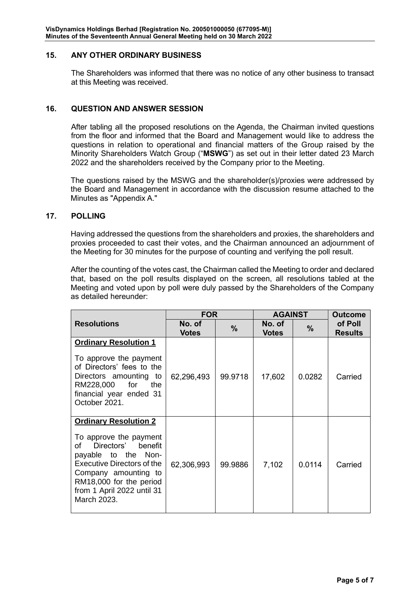## **15. ANY OTHER ORDINARY BUSINESS**

The Shareholders was informed that there was no notice of any other business to transact at this Meeting was received.

## **16. QUESTION AND ANSWER SESSION**

After tabling all the proposed resolutions on the Agenda, the Chairman invited questions from the floor and informed that the Board and Management would like to address the questions in relation to operational and financial matters of the Group raised by the Minority Shareholders Watch Group ("**MSWG**") as set out in their letter dated 23 March 2022 and the shareholders received by the Company prior to the Meeting.

The questions raised by the MSWG and the shareholder(s)/proxies were addressed by the Board and Management in accordance with the discussion resume attached to the Minutes as "Appendix A."

#### **17. POLLING**

Having addressed the questions from the shareholders and proxies, the shareholders and proxies proceeded to cast their votes, and the Chairman announced an adjournment of the Meeting for 30 minutes for the purpose of counting and verifying the poll result.

After the counting of the votes cast, the Chairman called the Meeting to order and declared that, based on the poll results displayed on the screen, all resolutions tabled at the Meeting and voted upon by poll were duly passed by the Shareholders of the Company as detailed hereunder:

|                                                                                                                                                                                                                                                   | <b>FOR</b>             |               | <b>AGAINST</b>         |        | <b>Outcome</b>            |
|---------------------------------------------------------------------------------------------------------------------------------------------------------------------------------------------------------------------------------------------------|------------------------|---------------|------------------------|--------|---------------------------|
| <b>Resolutions</b>                                                                                                                                                                                                                                | No. of<br><b>Votes</b> | $\frac{9}{6}$ | No. of<br><b>Votes</b> | $\%$   | of Poll<br><b>Results</b> |
| <b>Ordinary Resolution 1</b><br>To approve the payment<br>of Directors' fees to the<br>Directors amounting to<br>RM228,000<br>for<br>the<br>financial year ended 31<br>October 2021.                                                              | 62,296,493             | 99.9718       | 17,602                 | 0.0282 | Carried                   |
| <b>Ordinary Resolution 2</b><br>To approve the payment<br>Directors'<br>of<br>benefit<br>payable to the Non-<br><b>Executive Directors of the</b><br>Company amounting to<br>RM18,000 for the period<br>from 1 April 2022 until 31<br>March 2023. | 62,306,993             | 99.9886       | 7,102                  | 0.0114 | Carried                   |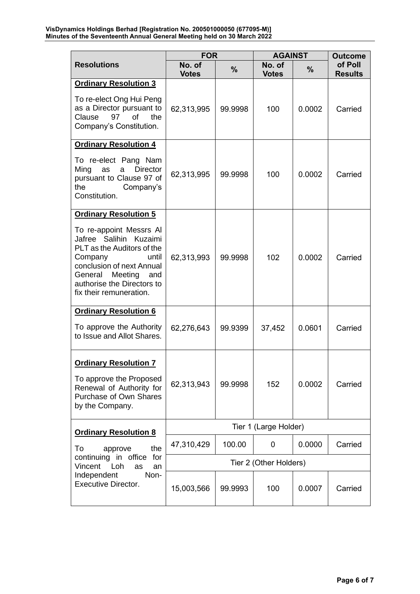|                                                                                                                                                                                                                        | <b>FOR</b>             |               | <b>AGAINST</b>         |               | <b>Outcome</b>            |
|------------------------------------------------------------------------------------------------------------------------------------------------------------------------------------------------------------------------|------------------------|---------------|------------------------|---------------|---------------------------|
| <b>Resolutions</b>                                                                                                                                                                                                     | No. of<br><b>Votes</b> | $\frac{9}{6}$ | No. of<br><b>Votes</b> | $\frac{0}{0}$ | of Poll<br><b>Results</b> |
| <b>Ordinary Resolution 3</b>                                                                                                                                                                                           |                        |               |                        |               |                           |
| To re-elect Ong Hui Peng<br>as a Director pursuant to<br>Clause<br>97<br><b>of</b><br>the<br>Company's Constitution.                                                                                                   | 62,313,995             | 99.9998       | 100                    | 0.0002        | Carried                   |
| <b>Ordinary Resolution 4</b>                                                                                                                                                                                           |                        |               |                        |               |                           |
| To re-elect Pang Nam<br>Ming<br><b>Director</b><br>as<br>a<br>pursuant to Clause 97 of<br>the<br>Company's<br>Constitution.                                                                                            | 62,313,995             | 99.9998       | 100                    | 0.0002        | Carried                   |
| <b>Ordinary Resolution 5</b>                                                                                                                                                                                           |                        |               |                        |               |                           |
| To re-appoint Messrs Al<br>Jafree Salihin Kuzaimi<br>PLT as the Auditors of the<br>Company<br>until<br>conclusion of next Annual<br>General<br>Meeting<br>and<br>authorise the Directors to<br>fix their remuneration. | 62,313,993             | 99.9998       | 102                    | 0.0002        | Carried                   |
| <b>Ordinary Resolution 6</b>                                                                                                                                                                                           |                        |               |                        |               |                           |
| To approve the Authority<br>to Issue and Allot Shares.                                                                                                                                                                 | 62,276,643             | 99.9399       | 37,452                 | 0.0601        | Carried                   |
| <b>Ordinary Resolution 7</b>                                                                                                                                                                                           |                        |               |                        |               |                           |
| To approve the Proposed<br>Renewal of Authority for<br>Purchase of Own Shares<br>by the Company.                                                                                                                       | 62,313,943             | 99.9998       | 152                    | 0.0002        | Carried                   |
| <b>Ordinary Resolution 8</b>                                                                                                                                                                                           | Tier 1 (Large Holder)  |               |                        |               |                           |
| the<br>To<br>approve                                                                                                                                                                                                   | 47,310,429             | 100.00        | 0                      | 0.0000        | Carried                   |
| continuing in office<br>for<br>Vincent<br>Loh<br>as<br>an                                                                                                                                                              | Tier 2 (Other Holders) |               |                        |               |                           |
| Independent<br>Non-<br><b>Executive Director.</b>                                                                                                                                                                      | 15,003,566             | 99.9993       | 100                    | 0.0007        | Carried                   |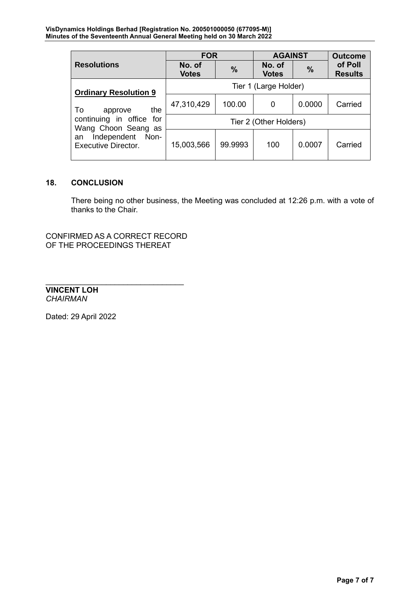|                                                      | <b>FOR</b>             |               | <b>AGAINST</b>         |               | <b>Outcome</b>            |
|------------------------------------------------------|------------------------|---------------|------------------------|---------------|---------------------------|
| <b>Resolutions</b>                                   | No. of<br><b>Votes</b> | $\frac{0}{0}$ | No. of<br><b>Votes</b> | $\frac{0}{0}$ | of Poll<br><b>Results</b> |
| <b>Ordinary Resolution 9</b>                         | Tier 1 (Large Holder)  |               |                        |               |                           |
| the<br>To<br>approve                                 | 47,310,429             | 100.00        | 0                      | 0.0000        | Carried                   |
| continuing in office for<br>Wang Choon Seang as      | Tier 2 (Other Holders) |               |                        |               |                           |
| Independent Non-<br>an<br><b>Executive Director.</b> | 15,003,566             | 99.9993       | 100                    | 0.0007        | Carried                   |

# **18. CONCLUSION**

There being no other business, the Meeting was concluded at 12:26 p.m. with a vote of thanks to the Chair.

CONFIRMED AS A CORRECT RECORD OF THE PROCEEDINGS THEREAT

 $\mathcal{L}_\text{max}$  , and the set of the set of the set of the set of the set of the set of the set of the set of the set of the set of the set of the set of the set of the set of the set of the set of the set of the set of the

**VINCENT LOH** *CHAIRMAN*

Dated: 29 April 2022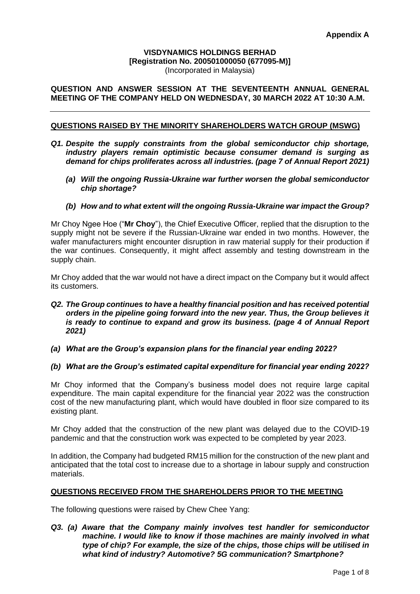## **VISDYNAMICS HOLDINGS BERHAD [Registration No. 200501000050 (677095-M)]** (Incorporated in Malaysia)

# **QUESTION AND ANSWER SESSION AT THE SEVENTEENTH ANNUAL GENERAL MEETING OF THE COMPANY HELD ON WEDNESDAY, 30 MARCH 2022 AT 10:30 A.M.**

## **QUESTIONS RAISED BY THE MINORITY SHAREHOLDERS WATCH GROUP (MSWG)**

- *Q1. Despite the supply constraints from the global semiconductor chip shortage, industry players remain optimistic because consumer demand is surging as demand for chips proliferates across all industries. (page 7 of Annual Report 2021)*
	- *(a) Will the ongoing Russia-Ukraine war further worsen the global semiconductor chip shortage?*
	- *(b) How and to what extent will the ongoing Russia-Ukraine war impact the Group?*

Mr Choy Ngee Hoe ("**Mr Choy**"), the Chief Executive Officer, replied that the disruption to the supply might not be severe if the Russian-Ukraine war ended in two months. However, the wafer manufacturers might encounter disruption in raw material supply for their production if the war continues. Consequently, it might affect assembly and testing downstream in the supply chain.

Mr Choy added that the war would not have a direct impact on the Company but it would affect its customers.

#### *Q2. The Group continues to have a healthy financial position and has received potential orders in the pipeline going forward into the new year. Thus, the Group believes it is ready to continue to expand and grow its business. (page 4 of Annual Report 2021)*

*(a) What are the Group's expansion plans for the financial year ending 2022?*

#### *(b) What are the Group's estimated capital expenditure for financial year ending 2022?*

Mr Choy informed that the Company's business model does not require large capital expenditure. The main capital expenditure for the financial year 2022 was the construction cost of the new manufacturing plant, which would have doubled in floor size compared to its existing plant.

Mr Choy added that the construction of the new plant was delayed due to the COVID-19 pandemic and that the construction work was expected to be completed by year 2023.

In addition, the Company had budgeted RM15 million for the construction of the new plant and anticipated that the total cost to increase due to a shortage in labour supply and construction materials.

#### **QUESTIONS RECEIVED FROM THE SHAREHOLDERS PRIOR TO THE MEETING**

The following questions were raised by Chew Chee Yang:

*Q3. (a) Aware that the Company mainly involves test handler for semiconductor machine. I would like to know if those machines are mainly involved in what type of chip? For example, the size of the chips, those chips will be utilised in what kind of industry? Automotive? 5G communication? Smartphone?*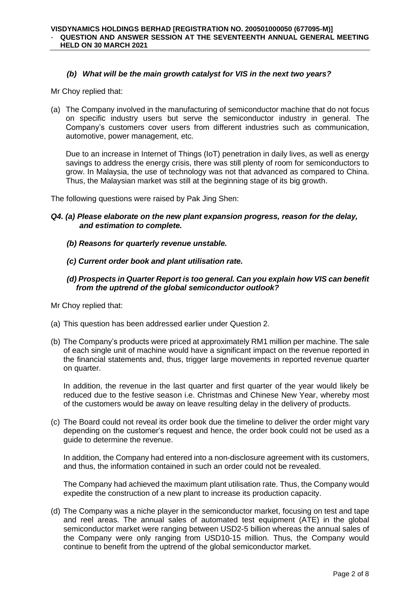## *(b) What will be the main growth catalyst for VIS in the next two years?*

Mr Choy replied that:

(a) The Company involved in the manufacturing of semiconductor machine that do not focus on specific industry users but serve the semiconductor industry in general. The Company's customers cover users from different industries such as communication, automotive, power management, etc.

Due to an increase in Internet of Things (IoT) penetration in daily lives, as well as energy savings to address the energy crisis, there was still plenty of room for semiconductors to grow. In Malaysia, the use of technology was not that advanced as compared to China. Thus, the Malaysian market was still at the beginning stage of its big growth.

The following questions were raised by Pak Jing Shen:

- *Q4. (a) Please elaborate on the new plant expansion progress, reason for the delay, and estimation to complete.*
	- *(b) Reasons for quarterly revenue unstable.*
	- *(c) Current order book and plant utilisation rate.*
	- *(d) Prospects in Quarter Report is too general. Can you explain how VIS can benefit from the uptrend of the global semiconductor outlook?*

Mr Choy replied that:

- (a) This question has been addressed earlier under Question 2.
- (b) The Company's products were priced at approximately RM1 million per machine. The sale of each single unit of machine would have a significant impact on the revenue reported in the financial statements and, thus, trigger large movements in reported revenue quarter on quarter.

In addition, the revenue in the last quarter and first quarter of the year would likely be reduced due to the festive season i.e. Christmas and Chinese New Year, whereby most of the customers would be away on leave resulting delay in the delivery of products.

(c) The Board could not reveal its order book due the timeline to deliver the order might vary depending on the customer's request and hence, the order book could not be used as a guide to determine the revenue.

In addition, the Company had entered into a non-disclosure agreement with its customers, and thus, the information contained in such an order could not be revealed.

The Company had achieved the maximum plant utilisation rate. Thus, the Company would expedite the construction of a new plant to increase its production capacity.

(d) The Company was a niche player in the semiconductor market, focusing on test and tape and reel areas. The annual sales of automated test equipment (ATE) in the global semiconductor market were ranging between USD2-5 billion whereas the annual sales of the Company were only ranging from USD10-15 million. Thus, the Company would continue to benefit from the uptrend of the global semiconductor market.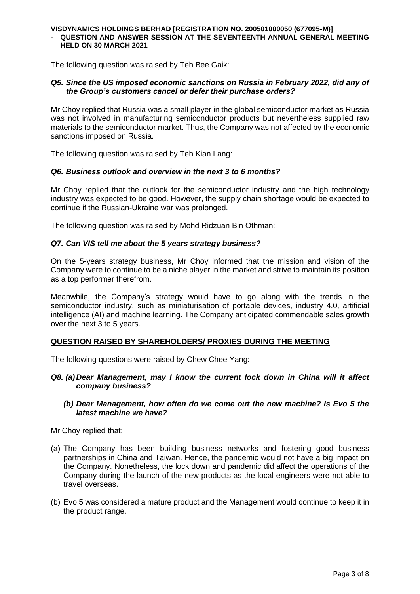The following question was raised by Teh Bee Gaik:

# *Q5. Since the US imposed economic sanctions on Russia in February 2022, did any of the Group's customers cancel or defer their purchase orders?*

Mr Choy replied that Russia was a small player in the global semiconductor market as Russia was not involved in manufacturing semiconductor products but nevertheless supplied raw materials to the semiconductor market. Thus, the Company was not affected by the economic sanctions imposed on Russia.

The following question was raised by Teh Kian Lang:

## *Q6. Business outlook and overview in the next 3 to 6 months?*

Mr Choy replied that the outlook for the semiconductor industry and the high technology industry was expected to be good. However, the supply chain shortage would be expected to continue if the Russian-Ukraine war was prolonged.

The following question was raised by Mohd Ridzuan Bin Othman:

## *Q7. Can VIS tell me about the 5 years strategy business?*

On the 5-years strategy business, Mr Choy informed that the mission and vision of the Company were to continue to be a niche player in the market and strive to maintain its position as a top performer therefrom.

Meanwhile, the Company's strategy would have to go along with the trends in the semiconductor industry, such as miniaturisation of portable devices, industry 4.0, artificial intelligence (AI) and machine learning. The Company anticipated commendable sales growth over the next 3 to 5 years.

#### **QUESTION RAISED BY SHAREHOLDERS/ PROXIES DURING THE MEETING**

The following questions were raised by Chew Chee Yang:

- *Q8. (a) Dear Management, may I know the current lock down in China will it affect company business?*
	- *(b) Dear Management, how often do we come out the new machine? Is Evo 5 the latest machine we have?*

Mr Choy replied that:

- (a) The Company has been building business networks and fostering good business partnerships in China and Taiwan. Hence, the pandemic would not have a big impact on the Company. Nonetheless, the lock down and pandemic did affect the operations of the Company during the launch of the new products as the local engineers were not able to travel overseas.
- (b) Evo 5 was considered a mature product and the Management would continue to keep it in the product range.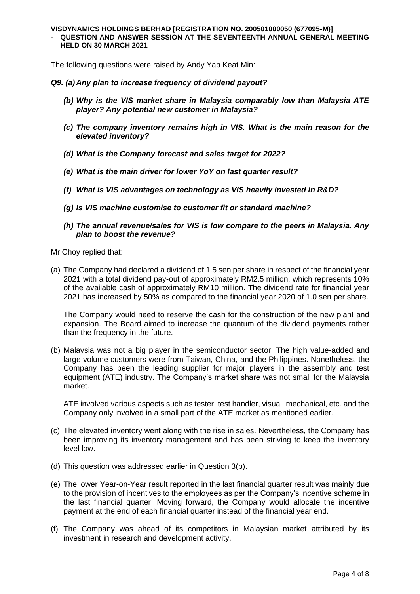The following questions were raised by Andy Yap Keat Min:

#### *Q9. (a) Any plan to increase frequency of dividend payout?*

- *(b) Why is the VIS market share in Malaysia comparably low than Malaysia ATE player? Any potential new customer in Malaysia?*
- *(c) The company inventory remains high in VIS. What is the main reason for the elevated inventory?*
- *(d) What is the Company forecast and sales target for 2022?*
- *(e) What is the main driver for lower YoY on last quarter result?*
- *(f) What is VIS advantages on technology as VIS heavily invested in R&D?*
- *(g) Is VIS machine customise to customer fit or standard machine?*
- *(h) The annual revenue/sales for VIS is low compare to the peers in Malaysia. Any plan to boost the revenue?*

Mr Choy replied that:

(a) The Company had declared a dividend of 1.5 sen per share in respect of the financial year 2021 with a total dividend pay-out of approximately RM2.5 million, which represents 10% of the available cash of approximately RM10 million. The dividend rate for financial year 2021 has increased by 50% as compared to the financial year 2020 of 1.0 sen per share.

The Company would need to reserve the cash for the construction of the new plant and expansion. The Board aimed to increase the quantum of the dividend payments rather than the frequency in the future.

(b) Malaysia was not a big player in the semiconductor sector. The high value-added and large volume customers were from Taiwan, China, and the Philippines. Nonetheless, the Company has been the leading supplier for major players in the assembly and test equipment (ATE) industry. The Company's market share was not small for the Malaysia market.

ATE involved various aspects such as tester, test handler, visual, mechanical, etc. and the Company only involved in a small part of the ATE market as mentioned earlier.

- (c) The elevated inventory went along with the rise in sales. Nevertheless, the Company has been improving its inventory management and has been striving to keep the inventory level low.
- (d) This question was addressed earlier in Question 3(b).
- (e) The lower Year-on-Year result reported in the last financial quarter result was mainly due to the provision of incentives to the employees as per the Company's incentive scheme in the last financial quarter. Moving forward, the Company would allocate the incentive payment at the end of each financial quarter instead of the financial year end.
- (f) The Company was ahead of its competitors in Malaysian market attributed by its investment in research and development activity.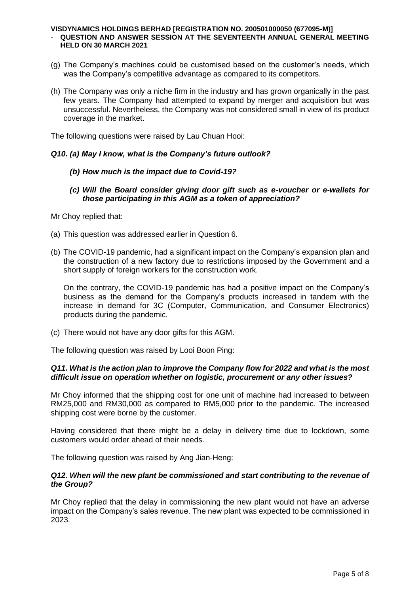#### **VISDYNAMICS HOLDINGS BERHAD [REGISTRATION NO. 200501000050 (677095-M)]** - **QUESTION AND ANSWER SESSION AT THE SEVENTEENTH ANNUAL GENERAL MEETING HELD ON 30 MARCH 2021**

- (g) The Company's machines could be customised based on the customer's needs, which was the Company's competitive advantage as compared to its competitors.
- (h) The Company was only a niche firm in the industry and has grown organically in the past few years. The Company had attempted to expand by merger and acquisition but was unsuccessful. Nevertheless, the Company was not considered small in view of its product coverage in the market.

The following questions were raised by Lau Chuan Hooi:

#### *Q10. (a) May I know, what is the Company's future outlook?*

#### *(b) How much is the impact due to Covid-19?*

*(c) Will the Board consider giving door gift such as e-voucher or e-wallets for those participating in this AGM as a token of appreciation?*

Mr Choy replied that:

- (a) This question was addressed earlier in Question 6.
- (b) The COVID-19 pandemic, had a significant impact on the Company's expansion plan and the construction of a new factory due to restrictions imposed by the Government and a short supply of foreign workers for the construction work.

On the contrary, the COVID-19 pandemic has had a positive impact on the Company's business as the demand for the Company's products increased in tandem with the increase in demand for 3C (Computer, Communication, and Consumer Electronics) products during the pandemic.

(c) There would not have any door gifts for this AGM.

The following question was raised by Looi Boon Ping:

#### *Q11. What is the action plan to improve the Company flow for 2022 and what is the most difficult issue on operation whether on logistic, procurement or any other issues?*

Mr Choy informed that the shipping cost for one unit of machine had increased to between RM25,000 and RM30,000 as compared to RM5,000 prior to the pandemic. The increased shipping cost were borne by the customer.

Having considered that there might be a delay in delivery time due to lockdown, some customers would order ahead of their needs.

The following question was raised by Ang Jian-Heng:

#### *Q12. When will the new plant be commissioned and start contributing to the revenue of the Group?*

Mr Choy replied that the delay in commissioning the new plant would not have an adverse impact on the Company's sales revenue. The new plant was expected to be commissioned in 2023.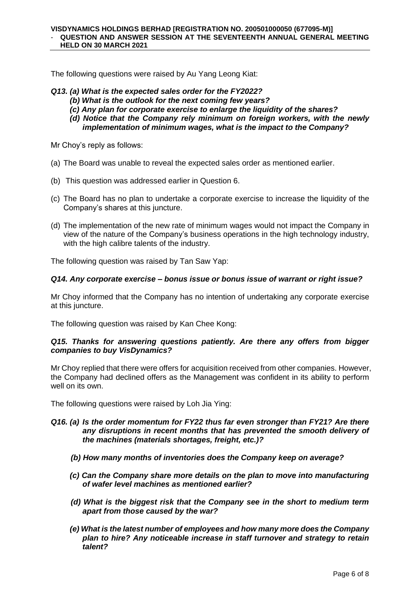The following questions were raised by Au Yang Leong Kiat:

- *Q13. (a) What is the expected sales order for the FY2022?*
	- *(b) What is the outlook for the next coming few years?*
	- *(c) Any plan for corporate exercise to enlarge the liquidity of the shares?*
	- *(d) Notice that the Company rely minimum on foreign workers, with the newly implementation of minimum wages, what is the impact to the Company?*

Mr Choy's reply as follows:

- (a) The Board was unable to reveal the expected sales order as mentioned earlier.
- (b) This question was addressed earlier in Question 6.
- (c) The Board has no plan to undertake a corporate exercise to increase the liquidity of the Company's shares at this juncture.
- (d) The implementation of the new rate of minimum wages would not impact the Company in view of the nature of the Company's business operations in the high technology industry, with the high calibre talents of the industry.

The following question was raised by Tan Saw Yap:

## *Q14. Any corporate exercise – bonus issue or bonus issue of warrant or right issue?*

Mr Choy informed that the Company has no intention of undertaking any corporate exercise at this juncture.

The following question was raised by Kan Chee Kong:

## *Q15. Thanks for answering questions patiently. Are there any offers from bigger companies to buy VisDynamics?*

Mr Choy replied that there were offers for acquisition received from other companies. However, the Company had declined offers as the Management was confident in its ability to perform well on its own.

The following questions were raised by Loh Jia Ying:

#### *Q16. (a) Is the order momentum for FY22 thus far even stronger than FY21? Are there any disruptions in recent months that has prevented the smooth delivery of the machines (materials shortages, freight, etc.)?*

- *(b) How many months of inventories does the Company keep on average?*
- *(c) Can the Company share more details on the plan to move into manufacturing of wafer level machines as mentioned earlier?*
- *(d) What is the biggest risk that the Company see in the short to medium term apart from those caused by the war?*
- *(e) What is the latest number of employees and how many more does the Company plan to hire? Any noticeable increase in staff turnover and strategy to retain talent?*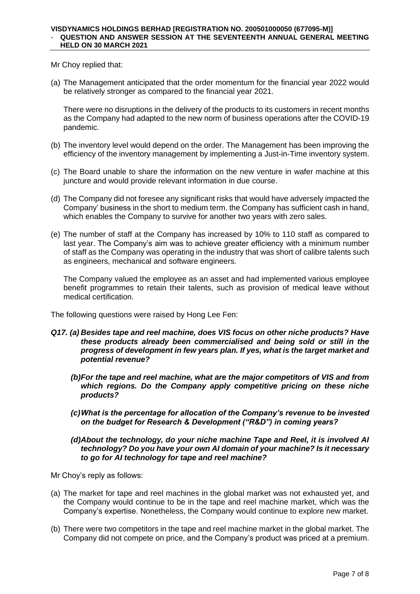Mr Choy replied that:

(a) The Management anticipated that the order momentum for the financial year 2022 would be relatively stronger as compared to the financial year 2021.

There were no disruptions in the delivery of the products to its customers in recent months as the Company had adapted to the new norm of business operations after the COVID-19 pandemic.

- (b) The inventory level would depend on the order. The Management has been improving the efficiency of the inventory management by implementing a Just-in-Time inventory system.
- (c) The Board unable to share the information on the new venture in wafer machine at this juncture and would provide relevant information in due course.
- (d) The Company did not foresee any significant risks that would have adversely impacted the Company' business in the short to medium term. the Company has sufficient cash in hand, which enables the Company to survive for another two years with zero sales.
- (e) The number of staff at the Company has increased by 10% to 110 staff as compared to last year. The Company's aim was to achieve greater efficiency with a minimum number of staff as the Company was operating in the industry that was short of calibre talents such as engineers, mechanical and software engineers.

The Company valued the employee as an asset and had implemented various employee benefit programmes to retain their talents, such as provision of medical leave without medical certification.

The following questions were raised by Hong Lee Fen:

- *Q17. (a) Besides tape and reel machine, does VIS focus on other niche products? Have these products already been commercialised and being sold or still in the progress of development in few years plan. If yes, what is the target market and potential revenue?*
	- *(b)For the tape and reel machine, what are the major competitors of VIS and from which regions. Do the Company apply competitive pricing on these niche products?*
	- *(c)What is the percentage for allocation of the Company's revenue to be invested on the budget for Research & Development ("R&D") in coming years?*

# *(d)About the technology, do your niche machine Tape and Reel, it is involved AI technology? Do you have your own AI domain of your machine? Is it necessary to go for AI technology for tape and reel machine?*

Mr Choy's reply as follows:

- (a) The market for tape and reel machines in the global market was not exhausted yet, and the Company would continue to be in the tape and reel machine market, which was the Company's expertise. Nonetheless, the Company would continue to explore new market.
- (b) There were two competitors in the tape and reel machine market in the global market. The Company did not compete on price, and the Company's product was priced at a premium.